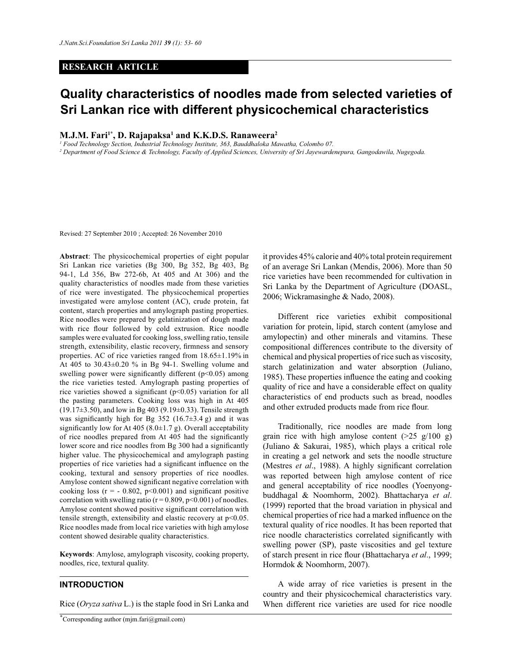## **RESEARCH ARTICLE**

# **Quality characteristics of noodles made from selected varieties of Sri Lankan rice with different physicochemical characteristics**

### **M.J.M. Fari1\*, D. Rajapaksa<sup>1</sup> and K.K.D.S. Ranaweera<sup>2</sup>**

*1 Food Technology Section, Industrial Technology Institute, 363, Bauddhaloka Mawatha, Colombo 07.*

*2 Department of Food Science & Technology, Faculty of Applied Sciences, University of Sri Jayewardenepura, Gangodawila, Nugegoda.*

Revised: 27 September 2010 ; Accepted: 26 November 2010

**Abstract**: The physicochemical properties of eight popular Sri Lankan rice varieties (Bg 300, Bg 352, Bg 403, Bg 94-1, Ld 356, Bw 272-6b, At 405 and At 306) and the quality characteristics of noodles made from these varieties of rice were investigated. The physicochemical properties investigated were amylose content (AC), crude protein, fat content, starch properties and amylograph pasting properties. Rice noodles were prepared by gelatinization of dough made with rice flour followed by cold extrusion. Rice noodle samples were evaluated for cooking loss, swelling ratio, tensile strength, extensibility, elastic recovery, firmness and sensory properties. AC of rice varieties ranged from 18.65±1.19% in At 405 to 30.43±0.20 % in Bg 94-1. Swelling volume and swelling power were significantly different (p<0.05) among the rice varieties tested. Amylograph pasting properties of rice varieties showed a significant  $(p<0.05)$  variation for all the pasting parameters. Cooking loss was high in At 405 (19.17±3.50), and low in Bg 403 (9.19±0.33). Tensile strength was significantly high for Bg  $352$  (16.7 $\pm$ 3.4 g) and it was significantly low for At 405 (8.0 $\pm$ 1.7 g). Overall acceptability of rice noodles prepared from At 405 had the significantly lower score and rice noodles from Bg 300 had a significantly higher value. The physicochemical and amylograph pasting properties of rice varieties had a significant influence on the cooking, textural and sensory properties of rice noodles. Amylose content showed significant negative correlation with cooking loss ( $r = -0.802$ ,  $p < 0.001$ ) and significant positive correlation with swelling ratio ( $r = 0.809$ ,  $p < 0.001$ ) of noodles. Amylose content showed positive significant correlation with tensile strength, extensibility and elastic recovery at p<0.05. Rice noodles made from local rice varieties with high amylose content showed desirable quality characteristics.

**Keywords**: Amylose, amylograph viscosity, cooking property, noodles, rice, textural quality.

## **INTRODUCTION**

Rice (*Oryza sativa* L.) is the staple food in Sri Lanka and

it provides 45% calorie and 40% total protein requirement of an average Sri Lankan (Mendis, 2006). More than 50 rice varieties have been recommended for cultivation in Sri Lanka by the Department of Agriculture (DOASL, 2006; Wickramasinghe & Nado, 2008).

 Different rice varieties exhibit compositional variation for protein, lipid, starch content (amylose and amylopectin) and other minerals and vitamins. These compositional differences contribute to the diversity of chemical and physical properties of rice such as viscosity, starch gelatinization and water absorption (Juliano, 1985). These properties influence the eating and cooking quality of rice and have a considerable effect on quality characteristics of end products such as bread, noodles and other extruded products made from rice flour.

 Traditionally, rice noodles are made from long grain rice with high amylose content  $(>25 \text{ g}/100 \text{ g})$ (Juliano & Sakurai, 1985), which plays a critical role in creating a gel network and sets the noodle structure (Mestres *et al*., 1988). A highly significant correlation was reported between high amylose content of rice and general acceptability of rice noodles (Yoenyongbuddhagal & Noomhorm, 2002). Bhattacharya *et al*. (1999) reported that the broad variation in physical and chemical properties of rice had a marked influence on the textural quality of rice noodles. It has been reported that rice noodle characteristics correlated significantly with swelling power (SP), paste viscosities and gel texture of starch present in rice flour (Bhattacharya *et al*., 1999; Hormdok & Noomhorm, 2007).

 A wide array of rice varieties is present in the country and their physicochemical characteristics vary. When different rice varieties are used for rice noodle

<sup>\*</sup>Corresponding author (mjm.fari@gmail.com)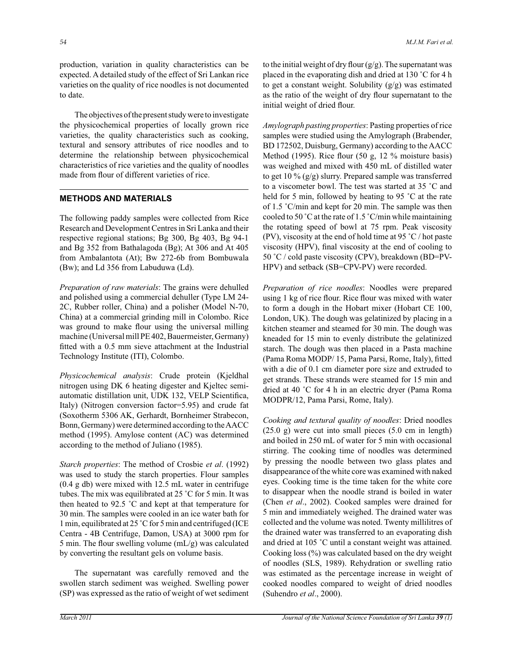production, variation in quality characteristics can be expected. A detailed study of the effect of Sri Lankan rice varieties on the quality of rice noodles is not documented to date.

 The objectives of the present study were to investigate the physicochemical properties of locally grown rice varieties, the quality characteristics such as cooking, textural and sensory attributes of rice noodles and to determine the relationship between physicochemical characteristics of rice varieties and the quality of noodles made from flour of different varieties of rice.

# **METHODS AND MATERIALS**

The following paddy samples were collected from Rice Research and Development Centres in Sri Lanka and their respective regional stations; Bg 300, Bg 403, Bg 94-1 and Bg 352 from Bathalagoda (Bg); At 306 and At 405 from Ambalantota (At); Bw 272-6b from Bombuwala (Bw); and Ld 356 from Labuduwa (Ld).

*Preparation of raw materials*: The grains were dehulled and polished using a commercial dehuller (Type LM 24- 2C, Rubber roller, China) and a polisher (Model N-70, China) at a commercial grinding mill in Colombo. Rice was ground to make flour using the universal milling machine (Universal mill PE 402, Bauermeister, Germany) fitted with a 0.5 mm sieve attachment at the Industrial Technology Institute (ITI), Colombo.

*Physicochemical analysis*: Crude protein (Kjeldhal nitrogen using DK 6 heating digester and Kjeltec semiautomatic distillation unit, UDK 132, VELP Scientifica, Italy) (Nitrogen conversion factor=5.95) and crude fat (Soxotherm 5306 AK, Gerhardt, Bornheimer Strabecon, Bonn, Germany) were determined according to the AACC method (1995). Amylose content (AC) was determined according to the method of Juliano (1985).

*Starch properties*: The method of Crosbie *et al*. (1992) was used to study the starch properties. Flour samples (0.4 g db) were mixed with 12.5 mL water in centrifuge tubes. The mix was equilibrated at 25 ˚C for 5 min. It was then heated to 92.5 ˚C and kept at that temperature for 30 min. The samples were cooled in an ice water bath for 1 min, equilibrated at 25 ˚C for 5 min and centrifuged (ICE Centra - 4B Centrifuge, Damon, USA) at 3000 rpm for 5 min. The flour swelling volume (mL/g) was calculated by converting the resultant gels on volume basis.

 The supernatant was carefully removed and the swollen starch sediment was weighed. Swelling power (SP) was expressed as the ratio of weight of wet sediment to the initial weight of dry flour  $(g/g)$ . The supernatant was placed in the evaporating dish and dried at 130 ˚C for 4 h to get a constant weight. Solubility (g/g) was estimated as the ratio of the weight of dry flour supernatant to the initial weight of dried flour.

*Amylograph pasting properties*: Pasting properties of rice samples were studied using the Amylograph (Brabender, BD 172502, Duisburg, Germany) according to the AACC Method (1995). Rice flour (50 g, 12 % moisture basis) was weighed and mixed with 450 mL of distilled water to get 10 %  $(g/g)$  slurry. Prepared sample was transferred to a viscometer bowl. The test was started at 35 ˚C and held for 5 min, followed by heating to 95 °C at the rate of 1.5 ˚C/min and kept for 20 min. The sample was then cooled to 50 ˚C at the rate of 1.5 ˚C/min while maintaining the rotating speed of bowl at 75 rpm. Peak viscosity (PV), viscosity at the end of hold time at 95  $\degree$ C / hot paste viscosity (HPV), final viscosity at the end of cooling to 50 ˚C / cold paste viscosity (CPV), breakdown (BD=PV-HPV) and setback (SB=CPV-PV) were recorded.

*Preparation of rice noodles*: Noodles were prepared using 1 kg of rice flour. Rice flour was mixed with water to form a dough in the Hobart mixer (Hobart CE 100, London, UK). The dough was gelatinized by placing in a kitchen steamer and steamed for 30 min. The dough was kneaded for 15 min to evenly distribute the gelatinized starch. The dough was then placed in a Pasta machine (Pama Roma MODP/ 15, Pama Parsi, Rome, Italy), fitted with a die of 0.1 cm diameter pore size and extruded to get strands. These strands were steamed for 15 min and dried at 40 ˚C for 4 h in an electric dryer (Pama Roma MODPR/12, Pama Parsi, Rome, Italy).

*Cooking and textural quality of noodles*: Dried noodles (25.0 g) were cut into small pieces (5.0 cm in length) and boiled in 250 mL of water for 5 min with occasional stirring. The cooking time of noodles was determined by pressing the noodle between two glass plates and disappearance of the white core was examined with naked eyes. Cooking time is the time taken for the white core to disappear when the noodle strand is boiled in water (Chen *et al*., 2002). Cooked samples were drained for 5 min and immediately weighed. The drained water was collected and the volume was noted. Twenty millilitres of the drained water was transferred to an evaporating dish and dried at 105 ˚C until a constant weight was attained. Cooking loss (%) was calculated based on the dry weight of noodles (SLS, 1989). Rehydration or swelling ratio was estimated as the percentage increase in weight of cooked noodles compared to weight of dried noodles (Suhendro *et al*., 2000).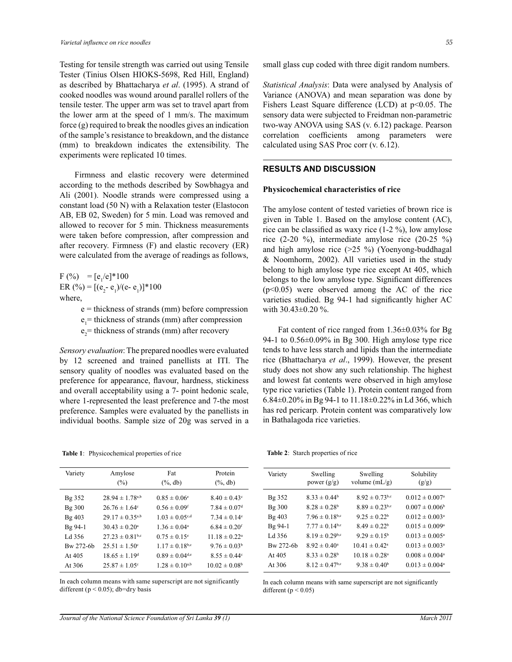Testing for tensile strength was carried out using Tensile Tester (Tinius Olsen HIOKS-5698, Red Hill, England) as described by Bhattacharya *et al*. (1995). A strand of cooked noodles was wound around parallel rollers of the tensile tester. The upper arm was set to travel apart from the lower arm at the speed of 1 mm/s. The maximum force (g) required to break the noodles gives an indication of the sample's resistance to breakdown, and the distance (mm) to breakdown indicates the extensibility. The experiments were replicated 10 times.

 Firmness and elastic recovery were determined according to the methods described by Sowbhagya and Ali (2001). Noodle strands were compressed using a constant load (50 N) with a Relaxation tester (Elastocon AB, EB 02, Sweden) for 5 min. Load was removed and allowed to recover for 5 min. Thickness measurements were taken before compression, after compression and after recovery. Firmness (F) and elastic recovery (ER) were calculated from the average of readings as follows,

 $F (\%) = [e_1/e]^* 100$ ER (%) =  $[(e_2 - e_1)/(e - e_1)]$ \*100 where,

- e = thickness of strands (mm) before compression
- $e_1$  = thickness of strands (mm) after compression
- $e_2$  = thickness of strands (mm) after recovery

*Sensory evaluation*: The prepared noodles were evaluated by 12 screened and trained panellists at ITI. The sensory quality of noodles was evaluated based on the preference for appearance, flavour, hardness, stickiness and overall acceptability using a 7- point hedonic scale, where 1-represented the least preference and 7-the most preference. Samples were evaluated by the panellists in individual booths. Sample size of 20g was served in a

**Table 1**: Physicochemical properties of rice

| Variety   | Amylose                         | Fat                            | Protein                      |  |
|-----------|---------------------------------|--------------------------------|------------------------------|--|
|           | $(\%)$                          | $(\%$ , db)                    | $(\%, db)$                   |  |
| Bg 352    | $28.94 \pm 1.78^{a,b}$          | $0.85 \pm 0.06^{\circ}$        | $8.40 \pm 0.43^{\circ}$      |  |
| Bg 300    | $26.76 \pm 1.64$ <sup>c</sup>   | $0.56 \pm 0.09$ <sup>f</sup>   | $7.84 \pm 0.07$ <sup>d</sup> |  |
| Bg 403    | $29.17 \pm 0.35^{a,b}$          | $1.03 \pm 0.05$ <sup>c,d</sup> | $7.34 \pm 0.14$ <sup>e</sup> |  |
| Bg 94-1   | $30.43 \pm 0.20^{\circ}$        | $1.36 \pm 0.04^{\circ}$        | $6.84 \pm 0.20$ <sup>f</sup> |  |
| Ld 356    | $27.23 \pm 0.81$ <sup>b,c</sup> | $0.75 \pm 0.15^{\circ}$        | $11.18 \pm 0.22^{\circ}$     |  |
| Bw 272-6b | $25.51 \pm 1.50^{\circ}$        | $1.17 \pm 0.18$ b,c            | $9.76 \pm 0.03^b$            |  |
| At $405$  | $18.65 \pm 1.19^{\rm d}$        | $0.89 \pm 0.04^{\text{d,e}}$   | $8.55 \pm 0.44^{\circ}$      |  |
| At 306    | $25.87 \pm 1.05$ <sup>c</sup>   | $1.28 \pm 0.10^{a,b}$          | $10.02 \pm 0.08^{\circ}$     |  |

In each column means with same superscript are not significantly different ( $p < 0.05$ ); db=dry basis

small glass cup coded with three digit random numbers.

*Statistical Analysis*: Data were analysed by Analysis of Variance (ANOVA) and mean separation was done by Fishers Least Square difference (LCD) at p<0.05. The sensory data were subjected to Freidman non-parametric two-way ANOVA using SAS (v. 6.12) package. Pearson correlation coefficients among parameters were calculated using SAS Proc corr (v. 6.12).

# **RESULTS AND DISCUSSION**

#### **Physicochemical characteristics of rice**

The amylose content of tested varieties of brown rice is given in Table 1. Based on the amylose content (AC), rice can be classified as waxy rice (1-2 %), low amylose rice (2-20 %), intermediate amylose rice (20-25 %) and high amylose rice (>25 %) (Yoenyong-buddhagal & Noomhorm, 2002). All varieties used in the study belong to high amylose type rice except At 405, which belongs to the low amylose type. Significant differences (p<0.05) were observed among the AC of the rice varieties studied. Bg 94-1 had significantly higher AC with  $30.43\pm0.20$  %.

 Fat content of rice ranged from 1.36±0.03% for Bg 94-1 to 0.56±0.09% in Bg 300. High amylose type rice tends to have less starch and lipids than the intermediate rice (Bhattacharya *et al*., 1999). However, the present study does not show any such relationship. The highest and lowest fat contents were observed in high amylose type rice varieties (Table 1). Protein content ranged from 6.84±0.20% in Bg 94-1 to 11.18±0.22% in Ld 366, which has red pericarp. Protein content was comparatively low in Bathalagoda rice varieties.

**Table 2**: Starch properties of rice

| Variety   | Swelling<br>power $(g/g)$      | Swelling<br>volume $(mL/g)$    | Solubility<br>(g/g)            |
|-----------|--------------------------------|--------------------------------|--------------------------------|
| Bg 352    | $8.33 \pm 0.44^b$              | $8.92 \pm 0.73$ <sup>b,c</sup> | $0.012 \pm 0.007$ <sup>a</sup> |
| Bg 300    | $8.28 \pm 0.28$ <sup>b</sup>   | $8.89 \pm 0.23$ <sup>b,c</sup> | $0.007 \pm 0.006^b$            |
| Bg 403    | $7.96 \pm 0.18$ <sup>b,c</sup> | $9.25 \pm 0.22^b$              | $0.012 \pm 0.003$ <sup>a</sup> |
| Bg 94-1   | $7.77 \pm 0.14$ <sup>b,c</sup> | $8.49 \pm 0.22^b$              | $0.015 \pm 0.009^{\circ}$      |
| Ld 356    | $8.19 \pm 0.29$ <sup>b,c</sup> | $9.29 \pm 0.15^{\circ}$        | $0.013 \pm 0.005^{\circ}$      |
| Bw 272-6b | $8.92 \pm 0.40^{\circ}$        | $10.41 \pm 0.42^{\circ}$       | $0.013 \pm 0.003^a$            |
| At $405$  | $8.33 \pm 0.28^b$              | $10.18 \pm 0.28$ <sup>a</sup>  | $0.008 \pm 0.004$ <sup>a</sup> |
| At 306    | $8.12 \pm 0.47$ <sup>b,c</sup> | $9.38 \pm 0.40^b$              | $0.013 \pm 0.004$ <sup>a</sup> |

In each column means with same superscript are not significantly different ( $p < 0.05$ )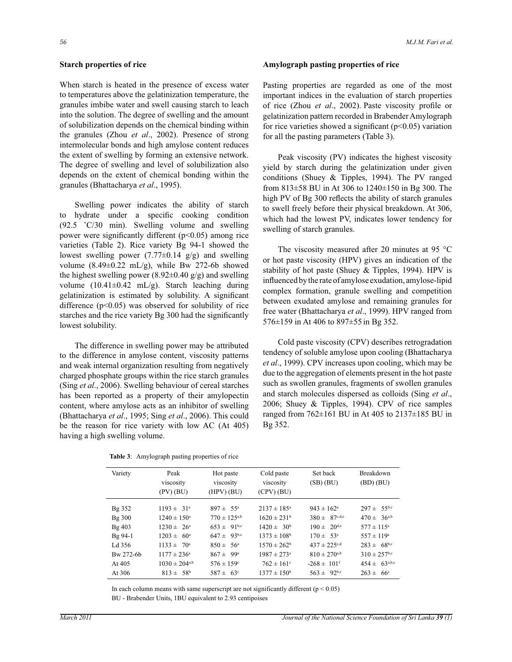#### **Starch properties of rice**

When starch is heated in the presence of excess water to temperatures above the gelatinization temperature, the granules imbibe water and swell causing starch to leach into the solution. The degree of swelling and the amount of solubilization depends on the chemical binding within the granules (Zhou *et al*., 2002). Presence of strong intermolecular bonds and high amylose content reduces the extent of swelling by forming an extensive network. The degree of swelling and level of solubilization also depends on the extent of chemical bonding within the granules (Bhattacharya *et al*., 1995).

 Swelling power indicates the ability of starch to hydrate under a specific cooking condition (92.5 ˚C/30 min). Swelling volume and swelling power were significantly different (p<0.05) among rice varieties (Table 2). Rice variety Bg 94-1 showed the lowest swelling power  $(7.77\pm0.14 \text{ g/g})$  and swelling volume  $(8.49\pm0.22 \text{ mL/g})$ , while Bw 272-6b showed the highest swelling power (8.92 $\pm$ 0.40 g/g) and swelling volume  $(10.41\pm0.42 \text{ mL/g})$ . Starch leaching during gelatinization is estimated by solubility. A significant difference  $(p<0.05)$  was observed for solubility of rice starches and the rice variety Bg 300 had the significantly lowest solubility.

 The difference in swelling power may be attributed to the difference in amylose content, viscosity patterns and weak internal organization resulting from negatively charged phosphate groups within the rice starch granules (Sing *et al*., 2006). Swelling behaviour of cereal starches has been reported as a property of their amylopectin content, where amylose acts as an inhibitor of swelling (Bhattacharya *et al*., 1995; Sing *et al*., 2006). This could be the reason for rice variety with low AC (At 405) having a high swelling volume.

|  | <b>Table 3:</b> Amylograph pasting properties of rice |  |  |  |
|--|-------------------------------------------------------|--|--|--|
|--|-------------------------------------------------------|--|--|--|

#### **Amylograph pasting properties of rice**

Pasting properties are regarded as one of the most important indices in the evaluation of starch properties of rice (Zhou *et al*., 2002). Paste viscosity profile or gelatinization pattern recorded in Brabender Amylograph for rice varieties showed a significant  $(p<0.05)$  variation for all the pasting parameters (Table 3).

 Peak viscosity (PV) indicates the highest viscosity yield by starch during the gelatinization under given conditions (Shuey & Tipples, 1994). The PV ranged from 813±58 BU in At 306 to 1240±150 in Bg 300. The high PV of Bg 300 reflects the ability of starch granules to swell freely before their physical breakdown. At 306, which had the lowest PV, indicates lower tendency for swelling of starch granules.

The viscosity measured after 20 minutes at 95 °C or hot paste viscosity (HPV) gives an indication of the stability of hot paste (Shuey & Tipples, 1994). HPV is influenced by the rate of amylose exudation, amylose-lipid complex formation, granule swelling and competition between exudated amylose and remaining granules for free water (Bhattacharya *et al*., 1999). HPV ranged from 576±159 in At 406 to 897±55 in Bg 352.

 Cold paste viscosity (CPV) describes retrogradation tendency of soluble amylose upon cooling (Bhattacharya *et al*., 1999). CPV increases upon cooling, which may be due to the aggregation of elements present in the hot paste such as swollen granules, fragments of swollen granules and starch molecules dispersed as colloids (Sing *et al*., 2006; Shuey & Tipples, 1994). CPV of rice samples ranged from 762±161 BU in At 405 to 2137±185 BU in Bg 352.

| Variety   | Peak                          | Hot paste                  | Cold paste                  | Set back                     | <b>Breakdown</b>             |
|-----------|-------------------------------|----------------------------|-----------------------------|------------------------------|------------------------------|
|           | viscosity                     | viscosity                  | viscosity                   | $(SB)$ $(BU)$                | $(BD)$ $(BU)$                |
|           | (PV) (BU)                     | $(HPV)$ (BU)               | $(CPV)$ (BU)                |                              |                              |
| Bg 352    | $1193 \pm 31^{a}$             | $897 \pm 55^{\circ}$       | $2137 \pm 185^{\circ}$      | $943 \pm 162^{\circ}$        | $297 \pm 55^{b.c}$           |
| Bg 300    | $1240 \pm 150^{\circ}$        | $770 \pm 125^{a,b}$        | $1620 \pm 231$ <sup>b</sup> | $380 \pm 87^{c,d,e}$         | $470 \pm 36^{a,b}$           |
| Bg 403    | $1230 \pm 26^{\circ}$         | $653 \pm 91^{b,c}$         | $1420 \pm 30^b$             | $190 \pm 20^{d,e}$           | $577 \pm 115^{\circ}$        |
| $Bg$ 94-1 | $1203 \pm 60^{\circ}$         | $647 \pm 93^{b,c}$         | $1373 \pm 108$ <sup>b</sup> | $170 \pm 53^e$               | $557 \pm 119^a$              |
| Ld 356    | $1133 \pm 70^{\circ}$         | $850 \pm 56^{\circ}$       | $1570 \pm 262^b$            | $437 \pm 225$ <sup>c,d</sup> | $283 \pm 68^{b,c}$           |
| Bw 272-6b | $1177 \pm 236^{\circ}$        | $867 \pm 99^{\circ}$       | $1987 \pm 273$ <sup>a</sup> | $810 \pm 270^{a,b}$          | $310 \pm 257$ <sup>b,c</sup> |
| At $405$  | $1030 \pm 204$ <sup>a,b</sup> | $576 \pm 159$ <sup>c</sup> | $762 \pm 161$ <sup>c</sup>  | $-268 \pm 101$ <sup>f</sup>  | $454 \pm 63^{a,b,c}$         |
| At 306    | $813 \pm 58^{b}$              | $587 \pm 63^{\circ}$       | $1377 \pm 150^b$            | $563 \pm 92^{b,c}$           | $263 \pm 66^{\circ}$         |

In each column means with same superscript are not significantly different  $(p < 0.05)$ 

BU - Brabender Units, 1BU equivalent to 2.93 centipoises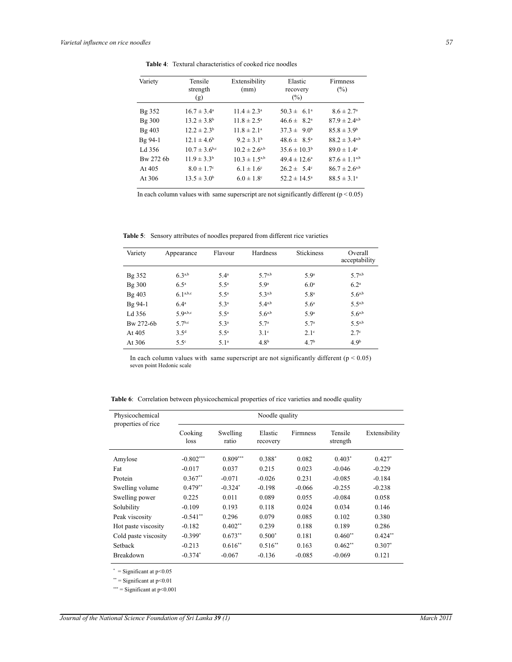Ĭ.

| Variety   | Tensile                    | Extensibility              | Elastic                 | Firmness               |
|-----------|----------------------------|----------------------------|-------------------------|------------------------|
|           | strength                   | (mm)                       | recovery                | $(\%)$                 |
|           | (g)                        |                            | $(\%)$                  |                        |
| Bg 352    | $16.7 \pm 3.4^{\circ}$     | $11.4 \pm 2.3^{\circ}$     | $50.3 \pm 6.1^{\circ}$  | $8.6 \pm 2.7^{\circ}$  |
| Bg 300    | $13.2 \pm 3.8^{\rm b}$     | $11.8 \pm 2.5^{\circ}$     | $46.6 \pm 8.2^{\circ}$  | $87.9 \pm 2.4^{a,b}$   |
| Bg 403    | $12.2 \pm 2.3^b$           | $11.8 \pm 2.1^a$           | $37.3 \pm 9.0^b$        | $85.8 \pm 3.9^b$       |
| Bg 94-1   | $12.1 \pm 4.6^b$           | $9.2 \pm 3.1^{\rm b}$      | $48.6 \pm 8.5^{\circ}$  | $88.2 \pm 3.4^{a,b}$   |
| Ld 356    | $10.7 \pm 3.6^{b,c}$       | $10.2 \pm 2.6^{a,b}$       | $35.6 \pm 10.3^b$       | $89.0 \pm 1.4^{\circ}$ |
| Bw 272 6b | $11.9 \pm 3.3^b$           | $10.3 \pm 1.5^{a,b}$       | $49.4 \pm 12.6^{\circ}$ | $87.6 \pm 1.1^{a,b}$   |
| At $405$  | $8.0 \pm 1.7$ <sup>c</sup> | $6.1 \pm 1.6^{\circ}$      | $26.2 \pm 5.4^{\circ}$  | $86.7 \pm 2.6^{a,b}$   |
| At 306    | $13.5 \pm 3.0^b$           | $6.0 \pm 1.8$ <sup>c</sup> | $52.2 \pm 14.5^{\circ}$ | $88.5 \pm 3.1^{\circ}$ |
|           |                            |                            |                         |                        |

**Table 4**: Textural characteristics of cooked rice noodles

In each column values with same superscript are not significantly different  $(p < 0.05)$ 

**Table 5**: Sensory attributes of noodles prepared from different rice varieties

| Variety   | Appearance       | Flavour          | Hardness         | <b>Stickiness</b> | Overall<br>acceptability |
|-----------|------------------|------------------|------------------|-------------------|--------------------------|
| Bg 352    | 63a,b            | 5.4 <sup>a</sup> | $5 \ 7^{a,b}$    | 5.9 <sup>a</sup>  | $5 \ 7^{a,b}$            |
| Bg 300    | $6.5^{\circ}$    | $5.5^{\circ}$    | 5.9 <sup>a</sup> | 6.0 <sup>a</sup>  | 6.2 <sup>a</sup>         |
| Bg 403    | 6.1a,b,c         | $5.5^{\circ}$    | $5 \, 3^{a,b}$   | 5.8 <sup>a</sup>  | $5.6^{a,b}$              |
| $Bg$ 94-1 | 6.4 <sup>a</sup> | 5.3 <sup>a</sup> | 5.4a,b           | 5.6 <sup>a</sup>  | $5.5^{a,b}$              |
| Ld 356    | $\zeta$ Qa,b,c   | $5.5^{\circ}$    | $5.6^{a,b}$      | 5.9 <sup>a</sup>  | $5.6^{a,b}$              |
| Bw 272-6b | $57^{b,c}$       | 5.3 <sup>a</sup> | 5.7 <sup>a</sup> | 57 <sup>a</sup>   | $5.5^{a,b}$              |
| At 405    | 3.5 <sup>d</sup> | $5.5^{\circ}$    | 3.1 <sup>c</sup> | 2.1 <sup>c</sup>  | 2.7 <sup>c</sup>         |
| At 306    | $5.5^\circ$      | 5.1 <sup>a</sup> | 4.8 <sup>b</sup> | 4.7 <sup>b</sup>  | 4.9 <sup>b</sup>         |

In each column values with same superscript are not significantly different  $(p < 0.05)$ seven point Hedonic scale

**Table 6**: Correlation between physicochemical properties of rice varieties and noodle quality

| Physicochemical<br>properties of rice | Noodle quality  |                   |                     |          |                     |               |
|---------------------------------------|-----------------|-------------------|---------------------|----------|---------------------|---------------|
|                                       | Cooking<br>loss | Swelling<br>ratio | Elastic<br>recovery | Firmness | Tensile<br>strength | Extensibility |
| Amylose                               | $-0.802***$     | $0.809***$        | $0.388*$            | 0.082    | $0.403*$            | $0.427*$      |
| Fat                                   | $-0.017$        | 0.037             | 0.215               | 0.023    | $-0.046$            | $-0.229$      |
| Protein                               | $0.367**$       | $-0.071$          | $-0.026$            | 0.231    | $-0.085$            | $-0.184$      |
| Swelling volume                       | $0.479**$       | $-0.324*$         | $-0.198$            | $-0.066$ | $-0.255$            | $-0.238$      |
| Swelling power                        | 0.225           | 0.011             | 0.089               | 0.055    | $-0.084$            | 0.058         |
| Solubility                            | $-0.109$        | 0.193             | 0.118               | 0.024    | 0.034               | 0.146         |
| Peak viscosity                        | $-0.541**$      | 0.296             | 0.079               | 0.085    | 0.102               | 0.380         |
| Hot paste viscosity                   | $-0.182$        | $0.402**$         | 0.239               | 0.188    | 0.189               | 0.286         |
| Cold paste viscosity                  | $-0.399*$       | $0.673**$         | $0.500*$            | 0.181    | $0.460**$           | $0.424**$     |
| Setback                               | $-0.213$        | $0.616**$         | $0.516**$           | 0.163    | $0.462**$           | $0.307*$      |
| <b>Breakdown</b>                      | $-0.374*$       | $-0.067$          | $-0.136$            | $-0.085$ | $-0.069$            | 0.121         |

 $*$  = Significant at p<0.05

 $\overline{a}$ 

L,

 $**$  = Significant at p<0.01

\*\*\* = Significant at  $p$  < 0.001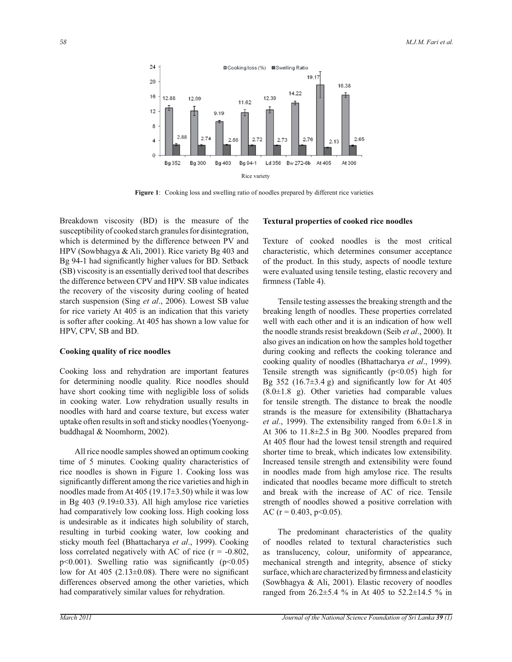

**Figure 1**: Cooking loss and swelling ratio of noodles prepared by different rice varieties

Breakdown viscosity (BD) is the measure of the susceptibility of cooked starch granules for disintegration, which is determined by the difference between PV and HPV (Sowbhagya & Ali, 2001). Rice variety Bg 403 and Bg 94-1 had significantly higher values for BD. Setback (SB) viscosity is an essentially derived tool that describes the difference between CPV and HPV. SB value indicates the recovery of the viscosity during cooling of heated starch suspension (Sing *et al*., 2006). Lowest SB value for rice variety At 405 is an indication that this variety is softer after cooking. At 405 has shown a low value for HPV, CPV, SB and BD.

# **Cooking quality of rice noodles**

Cooking loss and rehydration are important features for determining noodle quality. Rice noodles should have short cooking time with negligible loss of solids in cooking water. Low rehydration usually results in noodles with hard and coarse texture, but excess water uptake often results in soft and sticky noodles (Yoenyongbuddhagal & Noomhorm, 2002).

 All rice noodle samples showed an optimum cooking time of 5 minutes. Cooking quality characteristics of rice noodles is shown in Figure 1. Cooking loss was significantly different among the rice varieties and high in noodles made from At 405 (19.17 $\pm$ 3.50) while it was low in Bg  $403$  (9.19 $\pm$ 0.33). All high amylose rice varieties had comparatively low cooking loss. High cooking loss is undesirable as it indicates high solubility of starch, resulting in turbid cooking water, low cooking and sticky mouth feel (Bhattacharya *et al*., 1999). Cooking loss correlated negatively with AC of rice ( $r = -0.802$ ,  $p<0.001$ ). Swelling ratio was significantly ( $p<0.05$ ) low for At  $405$  (2.13 $\pm$ 0.08). There were no significant differences observed among the other varieties, which had comparatively similar values for rehydration.

## **Textural properties of cooked rice noodles**

Texture of cooked noodles is the most critical characteristic, which determines consumer acceptance of the product. In this study, aspects of noodle texture were evaluated using tensile testing, elastic recovery and firmness (Table 4).

 Tensile testing assesses the breaking strength and the breaking length of noodles. These properties correlated well with each other and it is an indication of how well the noodle strands resist breakdown (Seib *et al*., 2000). It also gives an indication on how the samples hold together during cooking and reflects the cooking tolerance and cooking quality of noodles (Bhattacharya *et al*., 1999). Tensile strength was significantly  $(p<0.05)$  high for Bg 352 (16.7 $\pm$ 3.4 g) and significantly low for At 405  $(8.0 \pm 1.8)$  g). Other varieties had comparable values for tensile strength. The distance to break the noodle strands is the measure for extensibility (Bhattacharya *et al*., 1999). The extensibility ranged from 6.0±1.8 in At 306 to 11.8±2.5 in Bg 300. Noodles prepared from At 405 flour had the lowest tensil strength and required shorter time to break, which indicates low extensibility. Increased tensile strength and extensibility were found in noodles made from high amylose rice. The results indicated that noodles became more difficult to stretch and break with the increase of AC of rice. Tensile strength of noodles showed a positive correlation with AC ( $r = 0.403$ ,  $p < 0.05$ ).

 The predominant characteristics of the quality of noodles related to textural characteristics such as translucency, colour, uniformity of appearance, mechanical strength and integrity, absence of sticky surface, which are characterized by firmness and elasticity (Sowbhagya & Ali, 2001). Elastic recovery of noodles ranged from 26.2±5.4 % in At 405 to 52.2±14.5 % in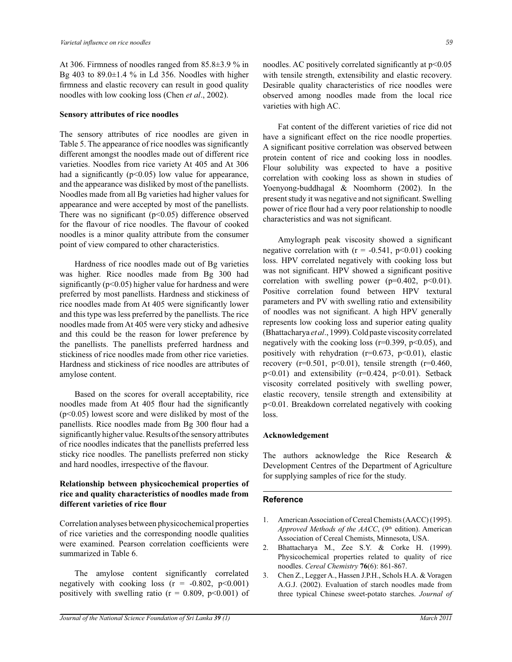At 306. Firmness of noodles ranged from 85.8±3.9 % in Bg 403 to  $89.0\pm1.4$  % in Ld 356. Noodles with higher firmness and elastic recovery can result in good quality noodles with low cooking loss (Chen *et al*., 2002).

#### **Sensory attributes of rice noodles**

The sensory attributes of rice noodles are given in Table 5. The appearance of rice noodles was significantly different amongst the noodles made out of different rice varieties. Noodles from rice variety At 405 and At 306 had a significantly ( $p \le 0.05$ ) low value for appearance, and the appearance was disliked by most of the panellists. Noodles made from all Bg varieties had higher values for appearance and were accepted by most of the panellists. There was no significant  $(p<0.05)$  difference observed for the flavour of rice noodles. The flavour of cooked noodles is a minor quality attribute from the consumer point of view compared to other characteristics.

 Hardness of rice noodles made out of Bg varieties was higher. Rice noodles made from Bg 300 had significantly ( $p<0.05$ ) higher value for hardness and were preferred by most panellists. Hardness and stickiness of rice noodles made from At 405 were significantly lower and this type was less preferred by the panellists. The rice noodles made from At 405 were very sticky and adhesive and this could be the reason for lower preference by the panellists. The panellists preferred hardness and stickiness of rice noodles made from other rice varieties. Hardness and stickiness of rice noodles are attributes of amylose content.

 Based on the scores for overall acceptability, rice noodles made from At 405 flour had the significantly (p<0.05) lowest score and were disliked by most of the panellists. Rice noodles made from Bg 300 flour had a significantly higher value. Results of the sensory attributes of rice noodles indicates that the panellists preferred less sticky rice noodles. The panellists preferred non sticky and hard noodles, irrespective of the flavour.

# **Relationship between physicochemical properties of rice and quality characteristics of noodles made from different varieties of rice flour**

Correlation analyses between physicochemical properties of rice varieties and the corresponding noodle qualities were examined. Pearson correlation coefficients were summarized in Table 6.

 The amylose content significantly correlated negatively with cooking loss  $(r = -0.802, p<0.001)$ positively with swelling ratio ( $r = 0.809$ ,  $p < 0.001$ ) of noodles. AC positively correlated significantly at  $p<0.05$ with tensile strength, extensibility and elastic recovery. Desirable quality characteristics of rice noodles were observed among noodles made from the local rice varieties with high AC.

 Fat content of the different varieties of rice did not have a significant effect on the rice noodle properties. A significant positive correlation was observed between protein content of rice and cooking loss in noodles. Flour solubility was expected to have a positive correlation with cooking loss as shown in studies of Yoenyong-buddhagal & Noomhorm (2002). In the present study it was negative and not significant. Swelling power of rice flour had a very poor relationship to noodle characteristics and was not significant.

 Amylograph peak viscosity showed a significant negative correlation with  $(r = -0.541, p<0.01)$  cooking loss. HPV correlated negatively with cooking loss but was not significant. HPV showed a significant positive correlation with swelling power ( $p=0.402$ ,  $p<0.01$ ). Positive correlation found between HPV textural parameters and PV with swelling ratio and extensibility of noodles was not significant. A high HPV generally represents low cooking loss and superior eating quality (Bhattacharya *et al*., 1999). Cold paste viscosity correlated negatively with the cooking loss ( $r=0.399$ ,  $p<0.05$ ), and positively with rehydration ( $r=0.673$ ,  $p<0.01$ ), elastic recovery (r=0.501, p<0.01), tensile strength (r=0.460,  $p<0.01$ ) and extensibility ( $r=0.424$ ,  $p<0.01$ ). Setback viscosity correlated positively with swelling power, elastic recovery, tensile strength and extensibility at p<0.01. Breakdown correlated negatively with cooking loss.

#### **Acknowledgement**

The authors acknowledge the Rice Research & Development Centres of the Department of Agriculture for supplying samples of rice for the study.

#### **Reference**

- 1. American Association of Cereal Chemists (AACC) (1995). Approved Methods of the AACC, (9<sup>th</sup> edition). American Association of Cereal Chemists, Minnesota, USA.
- 2. Bhattacharya M., Zee S.Y. & Corke H. (1999). Physicochemical properties related to quality of rice noodles. *Cereal Chemistry* **76**(6): 861-867.
- 3. Chen Z., Legger A., Hassen J.P.H., Schols H.A. & Voragen A.G.J. (2002). Evaluation of starch noodles made from three typical Chinese sweet-potato starches. *Journal of*